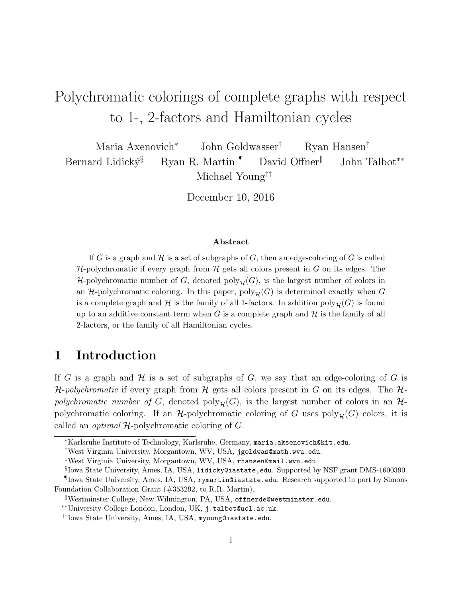# Polychromatic colorings of complete graphs with respect to 1-, 2-factors and Hamiltonian cycles

Maria Axenovich<sup>∗</sup> John Goldwasser† Ryan Hansen‡ Bernard Lidický§ Ryan R. Martin  $\P$  David Offner John Talbot<sup>\*\*</sup> Michael Young††

December 10, 2016

#### Abstract

If G is a graph and  $\mathcal H$  is a set of subgraphs of G, then an edge-coloring of G is called  $H$ -polychromatic if every graph from  $H$  gets all colors present in G on its edges. The H-polychromatic number of G, denoted  $\text{poly}_{\mathcal{H}}(G)$ , is the largest number of colors in an  $H$ -polychromatic coloring. In this paper,  $poly_{H}(G)$  is determined exactly when G is a complete graph and H is the family of all 1-factors. In addition  $\text{poly}_{\mathcal{H}}(G)$  is found up to an additive constant term when G is a complete graph and  $H$  is the family of all 2-factors, or the family of all Hamiltonian cycles.

## 1 Introduction

If G is a graph and  $\mathcal H$  is a set of subgraphs of G, we say that an edge-coloring of G is H-polychromatic if every graph from H gets all colors present in G on its edges. The  $H$ polychromatic number of G, denoted  $\text{poly}_{\mathcal{H}}(G)$ , is the largest number of colors in an  $\mathcal{H}$ polychromatic coloring. If an  $H$ -polychromatic coloring of G uses  $poly_{H}(G)$  colors, it is called an *optimal*  $H$ -polychromatic coloring of  $G$ .

<sup>∗</sup>Karlsruhe Institute of Technology, Karlsruhe, Germany, maria.aksenovich@kit.edu.

<sup>†</sup>West Virginia University, Morgantown, WV, USA, jgoldwas@math.wvu.edu.

<sup>‡</sup>West Virginia University, Morgantown, WV, USA, rhansen@mail.wvu.edu

 $\S$ Iowa State University, Ames, IA, USA, lidicky@iastate,edu. Supported by NSF grant DMS-1600390.

<sup>¶</sup>Iowa State University, Ames, IA, USA, rymartin@iastate.edu. Research supported in part by Simons Foundation Collaboration Grant (#353292, to R.R. Martin).

Westminster College, New Wilmington, PA, USA, offnerde@westminster.edu.

<sup>∗∗</sup>University College London, London, UK, j.talbot@ucl.ac.uk.

<sup>††</sup>Iowa State University, Ames, IA, USA, myoung@iastate.edu.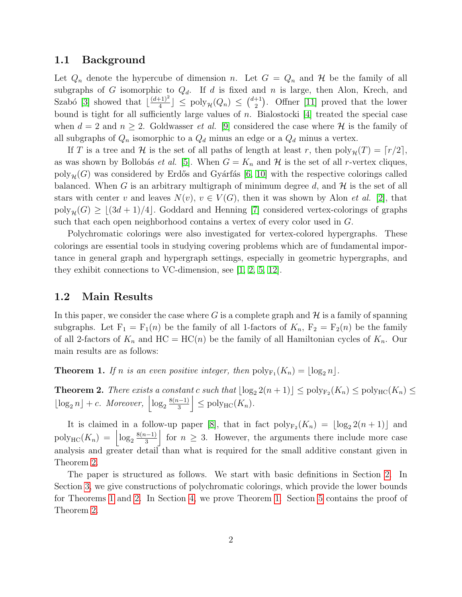#### 1.1 Background

Let  $Q_n$  denote the hypercube of dimension n. Let  $G = Q_n$  and H be the family of all subgraphs of G isomorphic to  $Q_d$ . If d is fixed and n is large, then Alon, Krech, and Szabó [\[3\]](#page-13-0) showed that  $\frac{(d+1)^2}{4}$  $\left[\frac{+1}{4}\right] \leq \text{poly}_{\mathcal{H}}(Q_n) \leq \binom{d+1}{2}$  $\binom{+1}{2}$ . Offner [\[11\]](#page-14-0) proved that the lower bound is tight for all sufficiently large values of n. Bialostocki [\[4\]](#page-13-1) treated the special case when  $d = 2$  and  $n \geq 2$ . Goldwasser *et al.* [\[9\]](#page-14-1) considered the case where H is the family of all subgraphs of  $Q_n$  isomorphic to a  $Q_d$  minus an edge or a  $Q_d$  minus a vertex.

If T is a tree and H is the set of all paths of length at least r, then  $\text{poly}_{\mathcal{H}}(T) = \lceil r/2 \rceil$ , as was shown by Bollobás *et al.* [\[5\]](#page-14-2). When  $G = K_n$  and  $H$  is the set of all r-vertex cliques, poly<sub>H</sub>(G) was considered by Erdős and Gyárfás [\[6,](#page-14-3) [10\]](#page-14-4) with the respective colorings called balanced. When G is an arbitrary multigraph of minimum degree  $d$ , and  $\mathcal H$  is the set of all stars with center v and leaves  $N(v)$ ,  $v \in V(G)$ , then it was shown by Alon *et al.* [\[2\]](#page-13-2), that  $poly_{\mathcal{H}}(G) \geq \lfloor (3d + 1)/4 \rfloor$ . Goddard and Henning [\[7\]](#page-14-5) considered vertex-colorings of graphs such that each open neighborhood contains a vertex of every color used in G.

Polychromatic colorings were also investigated for vertex-colored hypergraphs. These colorings are essential tools in studying covering problems which are of fundamental importance in general graph and hypergraph settings, especially in geometric hypergraphs, and they exhibit connections to VC-dimension, see [\[1,](#page-13-3) [2,](#page-13-2) [5,](#page-14-2) [12\]](#page-14-6).

#### 1.2 Main Results

In this paper, we consider the case where G is a complete graph and  $\mathcal H$  is a family of spanning subgraphs. Let  $F_1 = F_1(n)$  be the family of all 1-factors of  $K_n$ ,  $F_2 = F_2(n)$  be the family of all 2-factors of  $K_n$  and  $HC = HC(n)$  be the family of all Hamiltonian cycles of  $K_n$ . Our main results are as follows:

<span id="page-1-1"></span>**Theorem 1.** If n is an even positive integer, then  $\text{poly}_{F_1}(K_n) = \lfloor \log_2 n \rfloor$ .

<span id="page-1-0"></span>**Theorem 2.** There exists a constant c such that  $\lfloor \log_2 2(n + 1) \rfloor \le \text{poly}_{F_2}(K_n) \le \text{poly}_{HC}(K_n) \le$  $\lfloor \log_2 n \rfloor + c$ . Moreover,  $\left| \log_2 \frac{8(n-1)}{3} \right|$  $\left|\frac{n-1}{3}\right| \leq \text{poly}_{\text{HC}}(K_n).$ 

It is claimed in a follow-up paper [\[8\]](#page-14-7), that in fact  $\text{poly}_{F_2}(K_n) = \lfloor \log_2 2(n+1) \rfloor$  and  $\operatorname{poly}_{\operatorname{HC}}(K_n) = \left| \log_2 \frac{8(n-1)}{3} \right|$  $\frac{1}{3}$  for  $n \geq 3$ . However, the arguments there include more case analysis and greater detail than what is required for the small additive constant given in Theorem [2.](#page-1-0)

The paper is structured as follows. We start with basic definitions in Section [2.](#page-2-0) In Section [3,](#page-2-1) we give constructions of polychromatic colorings, which provide the lower bounds for Theorems [1](#page-1-1) and [2.](#page-1-0) In Section [4,](#page-5-0) we prove Theorem [1.](#page-1-1) Section [5](#page-6-0) contains the proof of Theorem [2.](#page-1-0)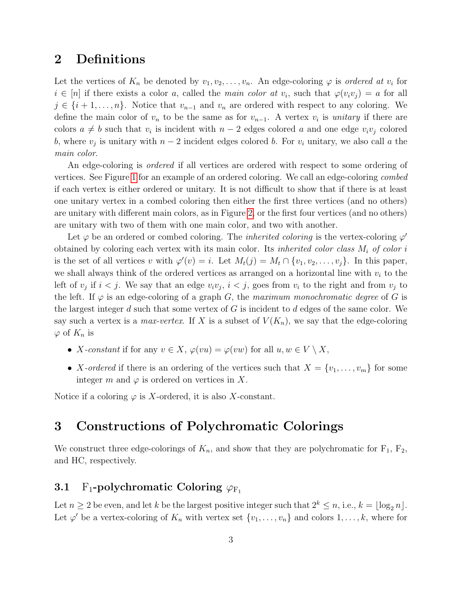# <span id="page-2-0"></span>2 Definitions

Let the vertices of  $K_n$  be denoted by  $v_1, v_2, \ldots, v_n$ . An edge-coloring  $\varphi$  is ordered at  $v_i$  for  $i \in [n]$  if there exists a color a, called the main color at  $v_i$ , such that  $\varphi(v_i v_j) = a$  for all  $j \in \{i+1,\ldots,n\}$ . Notice that  $v_{n-1}$  and  $v_n$  are ordered with respect to any coloring. We define the main color of  $v_n$  to be the same as for  $v_{n-1}$ . A vertex  $v_i$  is *unitary* if there are colors  $a \neq b$  such that  $v_i$  is incident with  $n-2$  edges colored a and one edge  $v_i v_j$  colored b, where  $v_j$  is unitary with  $n-2$  incident edges colored b. For  $v_i$  unitary, we also call a the main color.

An edge-coloring is *ordered* if all vertices are ordered with respect to some ordering of vertices. See Figure [1](#page-3-0) for an example of an ordered coloring. We call an edge-coloring combed if each vertex is either ordered or unitary. It is not difficult to show that if there is at least one unitary vertex in a combed coloring then either the first three vertices (and no others) are unitary with different main colors, as in Figure [2,](#page-4-0) or the first four vertices (and no others) are unitary with two of them with one main color, and two with another.

Let  $\varphi$  be an ordered or combed coloring. The *inherited coloring* is the vertex-coloring  $\varphi'$ obtained by coloring each vertex with its main color. Its *inherited color class*  $M_i$  of color i is the set of all vertices v with  $\varphi'(v) = i$ . Let  $M_t(j) = M_t \cap \{v_1, v_2, \ldots, v_j\}$ . In this paper, we shall always think of the ordered vertices as arranged on a horizontal line with  $v_i$  to the left of  $v_j$  if  $i < j$ . We say that an edge  $v_i v_j$ ,  $i < j$ , goes from  $v_i$  to the right and from  $v_j$  to the left. If  $\varphi$  is an edge-coloring of a graph G, the maximum monochromatic degree of G is the largest integer d such that some vertex of  $G$  is incident to d edges of the same color. We say such a vertex is a *max-vertex*. If X is a subset of  $V(K_n)$ , we say that the edge-coloring  $\varphi$  of  $K_n$  is

- X-constant if for any  $v \in X$ ,  $\varphi(vu) = \varphi(vw)$  for all  $u, w \in V \setminus X$ ,
- X-ordered if there is an ordering of the vertices such that  $X = \{v_1, \ldots, v_m\}$  for some integer m and  $\varphi$  is ordered on vertices in X.

Notice if a coloring  $\varphi$  is X-ordered, it is also X-constant.

# <span id="page-2-1"></span>3 Constructions of Polychromatic Colorings

We construct three edge-colorings of  $K_n$ , and show that they are polychromatic for  $F_1$ ,  $F_2$ , and HC, respectively.

## 3.1 F<sub>1</sub>-polychromatic Coloring  $\varphi_{\text{F}_1}$

Let  $n \geq 2$  be even, and let k be the largest positive integer such that  $2^k \leq n$ , i.e.,  $k = \log_2 n$ . Let  $\varphi'$  be a vertex-coloring of  $K_n$  with vertex set  $\{v_1, \ldots, v_n\}$  and colors  $1, \ldots, k$ , where for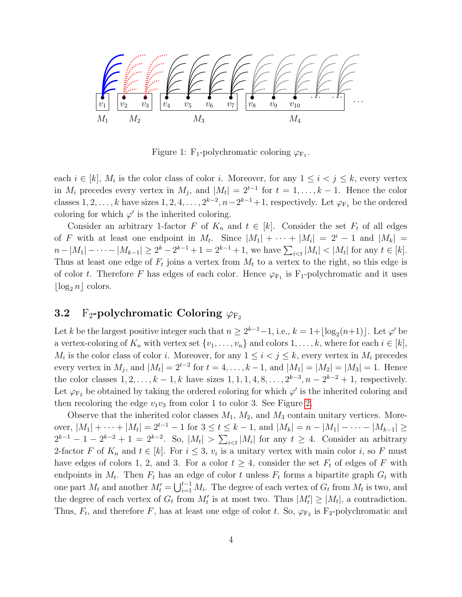

<span id="page-3-0"></span>Figure 1: F<sub>1</sub>-polychromatic coloring  $\varphi_{F_1}$ .

each  $i \in [k]$ ,  $M_i$  is the color class of color i. Moreover, for any  $1 \leq i < j \leq k$ , every vertex in  $M_i$  precedes every vertex in  $M_j$ , and  $|M_t| = 2^{t-1}$  for  $t = 1, ..., k-1$ . Hence the color classes  $1, 2, \ldots, k$  have sizes  $1, 2, 4, \ldots, 2^{k-2}, n-2^{k-1}+1$ , respectively. Let  $\varphi_{F_1}$  be the ordered coloring for which  $\varphi'$  is the inherited coloring.

Consider an arbitrary 1-factor F of  $K_n$  and  $t \in [k]$ . Consider the set  $F_t$  of all edges of F with at least one endpoint in  $M_t$ . Since  $|M_1| + \cdots + |M_i| = 2^i - 1$  and  $|M_k| =$  $n-|M_1|-\cdots-|M_{k-1}|\geq 2^k-2^{k-1}+1=2^{k-1}+1$ , we have  $\sum_{i\leq t}|M_i|<|M_t|$  for any  $t\in[k]$ . Thus at least one edge of  $F_t$  joins a vertex from  $M_t$  to a vertex to the right, so this edge is of color t. Therefore F has edges of each color. Hence  $\varphi_{F_1}$  is F<sub>1</sub>-polychromatic and it uses  $\log_2 n \cdot \text{colors.}$ 

### 3.2 F<sub>2</sub>-polychromatic Coloring  $\varphi_{F_2}$

Let k be the largest positive integer such that  $n \geq 2^{k-1}-1$ , i.e.,  $k = 1 + \lfloor \log_2(n+1) \rfloor$ . Let  $\varphi'$  be a vertex-coloring of  $K_n$  with vertex set  $\{v_1, \ldots, v_n\}$  and colors  $1, \ldots, k$ , where for each  $i \in [k]$ ,  $M_i$  is the color class of color i. Moreover, for any  $1 \leq i < j \leq k$ , every vertex in  $M_i$  precedes every vertex in  $M_j$ , and  $|M_t| = 2^{t-2}$  for  $t = 4, ..., k-1$ , and  $|M_1| = |M_2| = |M_3| = 1$ . Hence the color classes  $1, 2, ..., k - 1, k$  have sizes  $1, 1, 1, 4, 8, ..., 2^{k-3}, n - 2^{k-2} + 1$ , respectively. Let  $\varphi_{F_2}$  be obtained by taking the ordered coloring for which  $\varphi'$  is the inherited coloring and then recoloring the edge  $v_1v_3$  from color 1 to color 3. See Figure [2.](#page-4-0)

Observe that the inherited color classes  $M_1$ ,  $M_2$ , and  $M_3$  contain unitary vertices. Moreover,  $|M_1| + \cdots + |M_t| = 2^{t-1} - 1$  for  $3 \le t \le k - 1$ , and  $|M_k| = n - |M_1| - \cdots - |M_{k-1}| \ge$  $2^{k-1} - 1 - 2^{k-2} + 1 = 2^{k-2}$ . So,  $|M_t| > \sum_{i \le t} |M_i|$  for any  $t \ge 4$ . Consider an arbitrary 2-factor F of  $K_n$  and  $t \in [k]$ . For  $i \leq 3$ ,  $v_i$  is a unitary vertex with main color i, so F must have edges of colors 1, 2, and 3. For a color  $t \geq 4$ , consider the set  $F_t$  of edges of F with endpoints in  $M_t$ . Then  $F_t$  has an edge of color t unless  $F_t$  forms a bipartite graph  $G_t$  with one part  $M_t$  and another  $M'_t = \bigcup_{i=1}^{t-1} M_i$ . The degree of each vertex of  $G_t$  from  $M_t$  is two, and the degree of each vertex of  $G_t$  from  $M'_t$  is at most two. Thus  $|M'_t| \ge |M_t|$ , a contradiction. Thus,  $F_t$ , and therefore F, has at least one edge of color t. So,  $\varphi_{F_2}$  is F<sub>2</sub>-polychromatic and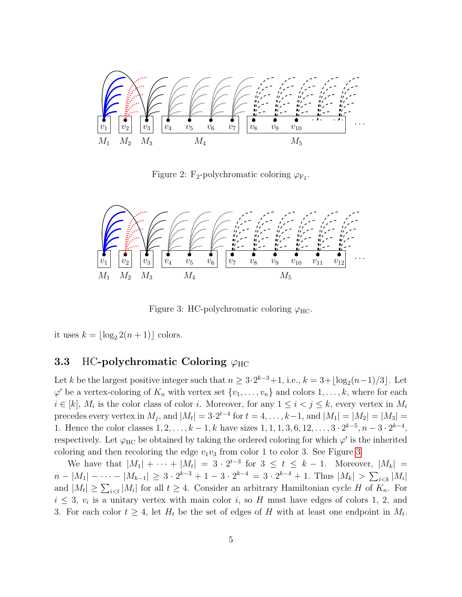

<span id="page-4-0"></span>Figure 2: F<sub>2</sub>-polychromatic coloring  $\varphi_{F_2}$ .



<span id="page-4-1"></span>Figure 3: HC-polychromatic coloring  $\varphi_{\text{HC}}$ .

it uses  $k = \lfloor \log_2 2(n + 1) \rfloor$  colors.

#### 3.3 HC-polychromatic Coloring  $\varphi_{HC}$

Let k be the largest positive integer such that  $n \geq 3 \cdot 2^{k-3} + 1$ , i.e.,  $k = 3 + \lfloor \log_2(n-1)/3 \rfloor$ . Let  $\varphi'$  be a vertex-coloring of  $K_n$  with vertex set  $\{v_1, \ldots, v_n\}$  and colors  $1, \ldots, k$ , where for each  $i \in [k], M_i$  is the color class of color i. Moreover, for any  $1 \leq i < j \leq k$ , every vertex in  $M_i$ precedes every vertex in  $M_j$ , and  $|M_t| = 3 \cdot 2^{t-4}$  for  $t = 4, \ldots, k-1$ , and  $|M_1| = |M_2| = |M_3| =$ 1. Hence the color classes  $1, 2, ..., k-1, k$  have sizes  $1, 1, 1, 3, 6, 12, ..., 3 \cdot 2^{k-5}, n-3 \cdot 2^{k-4},$ respectively. Let  $\varphi$ <sub>HC</sub> be obtained by taking the ordered coloring for which  $\varphi'$  is the inherited coloring and then recoloring the edge  $v_1v_3$  from color 1 to color [3.](#page-4-1) See Figure 3.

We have that  $|M_1| + \cdots + |M_t| = 3 \cdot 2^{t-3}$  for  $3 \le t \le k-1$ . Moreover,  $|M_k| =$  $n-|M_1|-\cdots-|M_{k-1}|\geq 3\cdot 2^{k-3}+1-3\cdot 2^{k-4}=3\cdot 2^{k-4}+1.$  Thus  $|M_k|>\sum_{i\lt k}|M_i|$ and  $|M_t| \geq \sum_{i \leq t} |M_i|$  for all  $t \geq 4$ . Consider an arbitrary Hamiltonian cycle H of  $K_n$ . For  $i \leq 3$ ,  $v_i$  is a unitary vertex with main color i, so H must have edges of colors 1, 2, and 3. For each color  $t \geq 4$ , let  $H_t$  be the set of edges of H with at least one endpoint in  $M_t$ .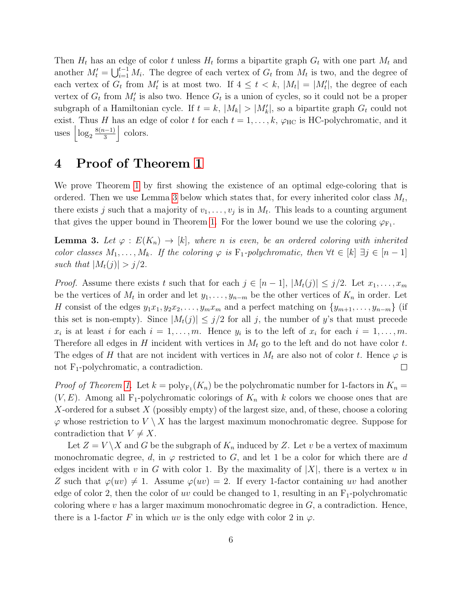Then  $H_t$  has an edge of color t unless  $H_t$  forms a bipartite graph  $G_t$  with one part  $M_t$  and another  $M'_t = \bigcup_{i=1}^{t-1} M_i$ . The degree of each vertex of  $G_t$  from  $M_t$  is two, and the degree of each vertex of  $G_t$  from  $M'_t$  is at most two. If  $4 \leq t \leq k$ ,  $|M_t| = |M'_t|$ , the degree of each vertex of  $G_t$  from  $M'_t$  is also two. Hence  $G_t$  is a union of cycles, so it could not be a proper subgraph of a Hamiltonian cycle. If  $t = k$ ,  $|M_k| > |M'_k|$ , so a bipartite graph  $G_t$  could not exist. Thus H has an edge of color t for each  $t = 1, \ldots, k$ ,  $\varphi_{HC}$  is HC-polychromatic, and it uses  $\left| \log_2 \frac{8(n-1)}{3} \right|$  $\frac{1}{3}$  colors.

# <span id="page-5-0"></span>4 Proof of Theorem [1](#page-1-1)

We prove Theorem [1](#page-1-1) by first showing the existence of an optimal edge-coloring that is ordered. Then we use Lemma [3](#page-5-1) below which states that, for every inherited color class  $M_t$ , there exists j such that a majority of  $v_1, \ldots, v_j$  is in  $M_t$ . This leads to a counting argument that gives the upper bound in Theorem [1.](#page-1-1) For the lower bound we use the coloring  $\varphi_{F_1}$ .

<span id="page-5-1"></span>**Lemma 3.** Let  $\varphi : E(K_n) \to [k]$ , where n is even, be an ordered coloring with inherited color classes  $M_1, \ldots, M_k$ . If the coloring  $\varphi$  is  $F_1$ -polychromatic, then  $\forall t \in [k] \exists j \in [n-1]$ such that  $|M_t(j)| > j/2$ .

*Proof.* Assume there exists t such that for each  $j \in [n-1]$ ,  $|M_t(j)| \leq j/2$ . Let  $x_1, \ldots, x_m$ be the vertices of  $M_t$  in order and let  $y_1, \ldots, y_{n-m}$  be the other vertices of  $K_n$  in order. Let H consist of the edges  $y_1x_1, y_2x_2, \ldots, y_mx_m$  and a perfect matching on  $\{y_{m+1}, \ldots, y_{n-m}\}$  (if this set is non-empty). Since  $|M_t(j)| \leq j/2$  for all j, the number of y's that must precede  $x_i$  is at least i for each  $i = 1, \ldots, m$ . Hence  $y_i$  is to the left of  $x_i$  for each  $i = 1, \ldots, m$ . Therefore all edges in H incident with vertices in  $M_t$  go to the left and do not have color t. The edges of H that are not incident with vertices in  $M_t$  are also not of color t. Hence  $\varphi$  is not F<sub>1</sub>-polychromatic, a contradiction.  $\Box$ 

*Proof of Theorem [1.](#page-1-1)* Let  $k = \text{poly}_{F_1}(K_n)$  be the polychromatic number for 1-factors in  $K_n =$  $(V, E)$ . Among all F<sub>1</sub>-polychromatic colorings of  $K_n$  with k colors we choose ones that are X-ordered for a subset  $X$  (possibly empty) of the largest size, and, of these, choose a coloring  $\varphi$  whose restriction to  $V \setminus X$  has the largest maximum monochromatic degree. Suppose for contradiction that  $V \neq X$ .

Let  $Z = V \backslash X$  and G be the subgraph of  $K_n$  induced by Z. Let v be a vertex of maximum monochromatic degree, d, in  $\varphi$  restricted to G, and let 1 be a color for which there are d edges incident with v in G with color 1. By the maximality of  $|X|$ , there is a vertex u in Z such that  $\varphi(uv) \neq 1$ . Assume  $\varphi(uv) = 2$ . If every 1-factor containing uv had another edge of color 2, then the color of uv could be changed to 1, resulting in an  $F_1$ -polychromatic coloring where v has a larger maximum monochromatic degree in  $G$ , a contradiction. Hence, there is a 1-factor F in which uv is the only edge with color 2 in  $\varphi$ .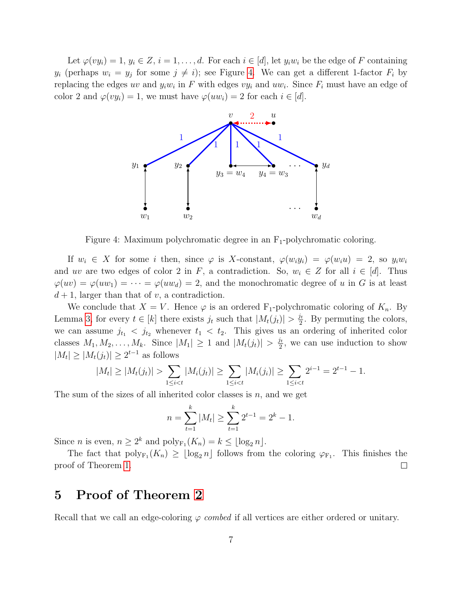Let  $\varphi(vy_i) = 1, y_i \in Z, i = 1, \ldots, d$ . For each  $i \in [d]$ , let  $y_i w_i$  be the edge of F containing  $y_i$  (perhaps  $w_i = y_j$  for some  $j \neq i$ ); see Figure [4.](#page-6-1) We can get a different 1-factor  $F_i$  by replacing the edges uv and  $y_i w_i$  in F with edges  $vy_i$  and  $uw_i$ . Since  $F_i$  must have an edge of color 2 and  $\varphi(vy_i) = 1$ , we must have  $\varphi(uw_i) = 2$  for each  $i \in [d]$ .



<span id="page-6-1"></span>Figure 4: Maximum polychromatic degree in an  $F_1$ -polychromatic coloring.

If  $w_i \in X$  for some i then, since  $\varphi$  is X-constant,  $\varphi(w_i y_i) = \varphi(w_i u) = 2$ , so  $y_i w_i$ and uv are two edges of color 2 in F, a contradiction. So,  $w_i \in Z$  for all  $i \in [d]$ . Thus  $\varphi(uv) = \varphi(uw_1) = \cdots = \varphi(uw_d) = 2$ , and the monochromatic degree of u in G is at least  $d+1$ , larger than that of v, a contradiction.

We conclude that  $X = V$ . Hence  $\varphi$  is an ordered F<sub>1</sub>-polychromatic coloring of  $K_n$ . By Lemma [3,](#page-5-1) for every  $t \in [k]$  there exists  $j_t$  such that  $|M_t(j_t)| > \frac{j_t}{2}$  $\frac{\partial t}{\partial z}$ . By permuting the colors, we can assume  $j_{t_1} < j_{t_2}$  whenever  $t_1 < t_2$ . This gives us an ordering of inherited color classes  $M_1, M_2, \ldots, M_k$ . Since  $|M_1| \geq 1$  and  $|M_t(j_t)| > \frac{j_t}{2}$  $\frac{\partial t}{\partial z}$ , we can use induction to show  $|M_t| \geq |M_t(j_t)| \geq 2^{t-1}$  as follows

$$
|M_t| \ge |M_t(j_t)| > \sum_{1 \le i < t} |M_i(j_t)| \ge \sum_{1 \le i < t} |M_i(j_i)| \ge \sum_{1 \le i < t} 2^{i-1} = 2^{t-1} - 1.
$$

The sum of the sizes of all inherited color classes is  $n$ , and we get

$$
n = \sum_{t=1}^{k} |M_t| \ge \sum_{t=1}^{k} 2^{t-1} = 2^{k} - 1.
$$

Since *n* is even,  $n \geq 2^k$  and  $\text{poly}_{F_1}(K_n) = k \leq \lfloor \log_2 n \rfloor$ .

The fact that  $\text{poly}_{F_1}(K_n) \geq \lfloor \log_2 n \rfloor$  follows from the coloring  $\varphi_{F_1}$ . This finishes the proof of Theorem [1.](#page-1-1)  $\Box$ 

## <span id="page-6-0"></span>5 Proof of Theorem [2](#page-1-0)

Recall that we call an edge-coloring  $\varphi$  combed if all vertices are either ordered or unitary.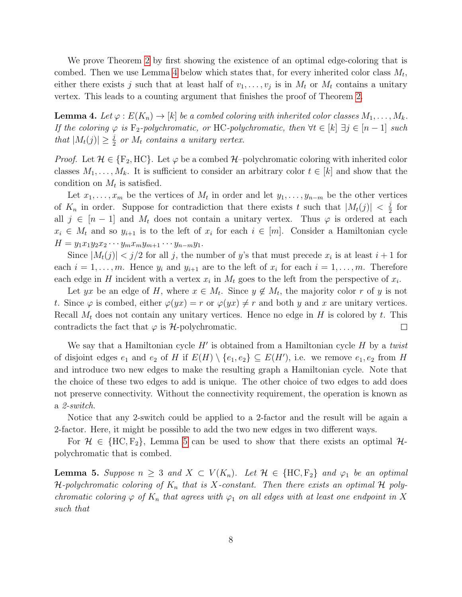We prove Theorem [2](#page-1-0) by first showing the existence of an optimal edge-coloring that is combed. Then we use Lemma [4](#page-7-0) below which states that, for every inherited color class  $M_t$ , either there exists j such that at least half of  $v_1, \ldots, v_j$  is in  $M_t$  or  $M_t$  contains a unitary vertex. This leads to a counting argument that finishes the proof of Theorem [2.](#page-1-0)

<span id="page-7-0"></span>**Lemma 4.** Let  $\varphi : E(K_n) \to [k]$  be a combed coloring with inherited color classes  $M_1, \ldots, M_k$ . If the coloring  $\varphi$  is F<sub>2</sub>-polychromatic, or HC-polychromatic, then  $\forall t \in [k]$   $\exists j \in [n-1]$  such that  $|M_t(j)| \geq \frac{j}{2}$  or  $M_t$  contains a unitary vertex.

*Proof.* Let  $\mathcal{H} \in \{F_2, HC\}$ . Let  $\varphi$  be a combed  $\mathcal{H}$ –polychromatic coloring with inherited color classes  $M_1, \ldots, M_k$ . It is sufficient to consider an arbitrary color  $t \in [k]$  and show that the condition on  $M_t$  is satisfied.

Let  $x_1, \ldots, x_m$  be the vertices of  $M_t$  in order and let  $y_1, \ldots, y_{n-m}$  be the other vertices of  $K_n$  in order. Suppose for contradiction that there exists t such that  $|M_t(j)| < \frac{j}{2}$  $rac{1}{2}$  for all  $j \in [n-1]$  and  $M_t$  does not contain a unitary vertex. Thus  $\varphi$  is ordered at each  $x_i \in M_t$  and so  $y_{i+1}$  is to the left of  $x_i$  for each  $i \in [m]$ . Consider a Hamiltonian cycle  $H = y_1x_1y_2x_2\cdots y_mx_my_{m+1}\cdots y_{n-m}y_1.$ 

Since  $|M_t(j)| < j/2$  for all j, the number of y's that must precede  $x_i$  is at least  $i+1$  for each  $i = 1, \ldots, m$ . Hence  $y_i$  and  $y_{i+1}$  are to the left of  $x_i$  for each  $i = 1, \ldots, m$ . Therefore each edge in H incident with a vertex  $x_i$  in  $M_t$  goes to the left from the perspective of  $x_i$ .

Let yx be an edge of H, where  $x \in M_t$ . Since  $y \notin M_t$ , the majority color r of y is not t. Since  $\varphi$  is combed, either  $\varphi(yx) = r$  or  $\varphi(yx) \neq r$  and both y and x are unitary vertices. Recall  $M_t$  does not contain any unitary vertices. Hence no edge in H is colored by t. This contradicts the fact that  $\varphi$  is *H*-polychromatic.  $\Box$ 

We say that a Hamiltonian cycle  $H'$  is obtained from a Hamiltonian cycle  $H$  by a twist of disjoint edges  $e_1$  and  $e_2$  of H if  $E(H) \setminus \{e_1, e_2\} \subseteq E(H')$ , i.e. we remove  $e_1, e_2$  from H and introduce two new edges to make the resulting graph a Hamiltonian cycle. Note that the choice of these two edges to add is unique. The other choice of two edges to add does not preserve connectivity. Without the connectivity requirement, the operation is known as a 2-switch.

Notice that any 2-switch could be applied to a 2-factor and the result will be again a 2-factor. Here, it might be possible to add the two new edges in two different ways.

For  $\mathcal{H} \in \{HC, F_2\}$ , Lemma [5](#page-7-1) can be used to show that there exists an optimal  $\mathcal{H}$ polychromatic that is combed.

<span id="page-7-1"></span>**Lemma 5.** Suppose  $n \geq 3$  and  $X \subset V(K_n)$ . Let  $\mathcal{H} \in \{\text{HC}, \text{F}_2\}$  and  $\varphi_1$  be an optimal H-polychromatic coloring of  $K_n$  that is X-constant. Then there exists an optimal H polychromatic coloring  $\varphi$  of  $K_n$  that agrees with  $\varphi_1$  on all edges with at least one endpoint in X such that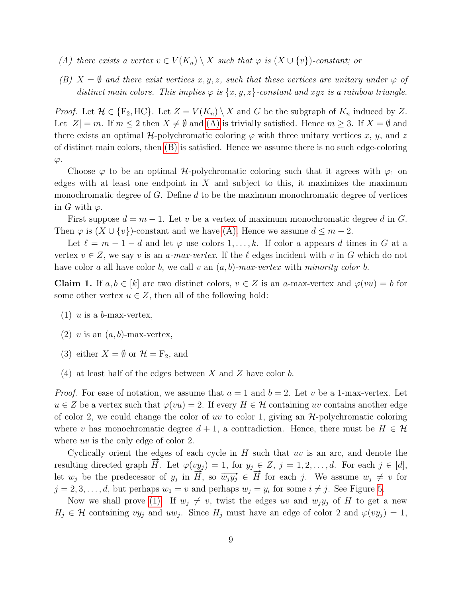- <span id="page-8-0"></span>(A) there exists a vertex  $v \in V(K_n) \setminus X$  such that  $\varphi$  is  $(X \cup \{v\})$ -constant; or
- <span id="page-8-1"></span>(B)  $X = \emptyset$  and there exist vertices x, y, z, such that these vertices are unitary under  $\varphi$  of distinct main colors. This implies  $\varphi$  is  $\{x, y, z\}$ -constant and xyz is a rainbow triangle.

*Proof.* Let  $\mathcal{H} \in \{F_2, HC\}$ . Let  $Z = V(K_n) \setminus X$  and G be the subgraph of  $K_n$  induced by Z. Let  $|Z| = m$ . If  $m \leq 2$  then  $X \neq \emptyset$  and  $(A)$  is trivially satisfied. Hence  $m \geq 3$ . If  $X = \emptyset$  and there exists an optimal H-polychromatic coloring  $\varphi$  with three unitary vertices x, y, and z of distinct main colors, then [\(B\)](#page-8-1) is satisfied. Hence we assume there is no such edge-coloring  $\varphi$ .

Choose  $\varphi$  to be an optimal H-polychromatic coloring such that it agrees with  $\varphi_1$  on edges with at least one endpoint in  $X$  and subject to this, it maximizes the maximum monochromatic degree of  $G$ . Define  $d$  to be the maximum monochromatic degree of vertices in G with  $\varphi$ .

First suppose  $d = m - 1$ . Let v be a vertex of maximum monochromatic degree d in G. Then  $\varphi$  is  $(X \cup \{v\})$ -constant and we have [\(A\).](#page-8-0) Hence we assume  $d \leq m-2$ .

Let  $\ell = m - 1 - d$  and let  $\varphi$  use colors  $1, \ldots, k$ . If color a appears d times in G at a vertex  $v \in Z$ , we say v is an a-max-vertex. If the  $\ell$  edges incident with v in G which do not have color a all have color b, we call v an  $(a, b)$ -max-vertex with minority color b.

<span id="page-8-3"></span>**Claim 1.** If  $a, b \in [k]$  are two distinct colors,  $v \in Z$  is an a-max-vertex and  $\varphi(vu) = b$  for some other vertex  $u \in Z$ , then all of the following hold:

- <span id="page-8-2"></span>(1) u is a b-max-vertex,
- <span id="page-8-4"></span>(2) v is an  $(a, b)$ -max-vertex,
- <span id="page-8-5"></span>(3) either  $X = \emptyset$  or  $\mathcal{H} = F_2$ , and
- <span id="page-8-6"></span>(4) at least half of the edges between X and Z have color b.

*Proof.* For ease of notation, we assume that  $a = 1$  and  $b = 2$ . Let v be a 1-max-vertex. Let  $u \in Z$  be a vertex such that  $\varphi(vu) = 2$ . If every  $H \in \mathcal{H}$  containing uv contains another edge of color 2, we could change the color of uv to color 1, giving an  $\mathcal{H}$ -polychromatic coloring where v has monochromatic degree  $d + 1$ , a contradiction. Hence, there must be  $H \in \mathcal{H}$ where uv is the only edge of color 2.

Cyclically orient the edges of each cycle in  $H$  such that  $uv$  is an arc, and denote the resulting directed graph  $\vec{H}$ . Let  $\varphi(vy_j) = 1$ , for  $y_j \in Z$ ,  $j = 1, 2, ..., d$ . For each  $j \in [d]$ , Let  $w_j$  be the predecessor of  $y_j$  in  $\overrightarrow{H}$ , so  $\overrightarrow{wy_j} \in \overrightarrow{H}$  for each j. We assume  $w_j \neq v$  for each  $v_j \neq v$  for  $j = 2, 3, \ldots, d$ , but perhaps  $w_1 = v$  and perhaps  $w_j = y_i$  for some  $i \neq j$ . See Figure [5.](#page-9-0)

Now we shall prove [\(1\).](#page-8-2) If  $w_i \neq v$ , twist the edges uv and  $w_i y_i$  of H to get a new  $H_j \in \mathcal{H}$  containing  $vy_j$  and  $uw_j$ . Since  $H_j$  must have an edge of color 2 and  $\varphi(vy_j) = 1$ ,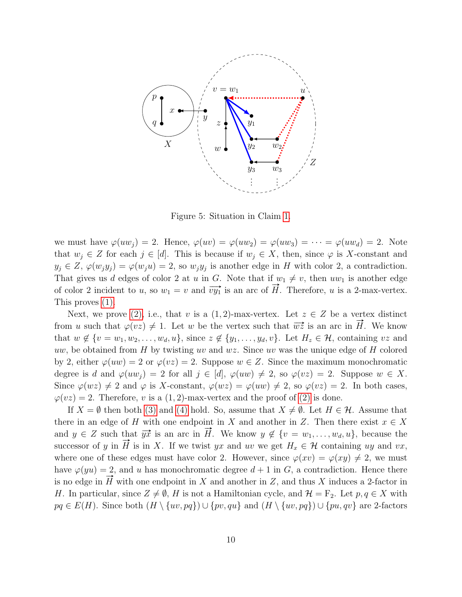

<span id="page-9-0"></span>Figure 5: Situation in Claim [1.](#page-8-3)

we must have  $\varphi(uw_i) = 2$ . Hence,  $\varphi(uv) = \varphi(uw_2) = \varphi(uw_3) = \cdots = \varphi(uw_d) = 2$ . Note that  $w_j \in Z$  for each  $j \in [d]$ . This is because if  $w_j \in X$ , then, since  $\varphi$  is X-constant and  $y_j \in Z$ ,  $\varphi(w_j y_j) = \varphi(w_j u) = 2$ , so  $w_j y_j$  is another edge in H with color 2, a contradiction. That gives us d edges of color 2 at u in G. Note that if  $w_1 \neq v$ , then  $uw_1$  is another edge of color 2 incident to u, so  $w_1 = v$  and  $\overrightarrow{vy_1}$  is an arc of  $\overrightarrow{H}$ . Therefore, u is a 2-max-vertex. This proves [\(1\).](#page-8-2)

Next, we prove [\(2\),](#page-8-4) i.e., that v is a  $(1, 2)$ -max-vertex. Let  $z \in Z$  be a vertex distinct from u such that  $\varphi(vz) \neq 1$ . Let w be the vertex such that  $\overrightarrow{wz}$  is an arc in  $\overrightarrow{H}$ . We know that  $w \notin \{v = w_1, w_2, \ldots, w_d, u\}$ , since  $z \notin \{y_1, \ldots, y_d, v\}$ . Let  $H_z \in \mathcal{H}$ , containing vz and uw, be obtained from H by twisting uv and  $wz$ . Since uv was the unique edge of H colored by 2, either  $\varphi(uw) = 2$  or  $\varphi(vz) = 2$ . Suppose  $w \in Z$ . Since the maximum monochromatic degree is d and  $\varphi(uw_i) = 2$  for all  $j \in [d]$ ,  $\varphi(uw) \neq 2$ , so  $\varphi(vz) = 2$ . Suppose  $w \in X$ . Since  $\varphi(wz) \neq 2$  and  $\varphi$  is X-constant,  $\varphi(wz) = \varphi(uw) \neq 2$ , so  $\varphi(vz) = 2$ . In both cases,  $\varphi(vz) = 2$ . Therefore, v is a (1,2)-max-vertex and the proof of [\(2\)](#page-8-4) is done.

If  $X = \emptyset$  then both [\(3\)](#page-8-5) and [\(4\)](#page-8-6) hold. So, assume that  $X \neq \emptyset$ . Let  $H \in \mathcal{H}$ . Assume that there in an edge of H with one endpoint in X and another in Z. Then there exist  $x \in X$ and  $y \in Z$  such that  $\overrightarrow{yx}$  is an arc in  $\overrightarrow{H}$ . We know  $y \notin \{v = w_1, \ldots, w_d, u\}$ , because the successor of y in  $\vec{H}$  is in X. If we twist yx and uv we get  $H_x \in \mathcal{H}$  containing uy and vx, where one of these edges must have color 2. However, since  $\varphi(xv) = \varphi(xy) \neq 2$ , we must have  $\varphi(yu) = 2$ , and u has monochromatic degree  $d+1$  in G, a contradiction. Hence there is no edge in  $\vec{H}$  with one endpoint in X and another in Z, and thus X induces a 2-factor in H. In particular, since  $Z \neq \emptyset$ , H is not a Hamiltonian cycle, and  $\mathcal{H} = \mathbb{F}_2$ . Let  $p, q \in X$  with  $pq \in E(H)$ . Since both  $(H \setminus \{uv, pq\}) \cup \{pv, qu\}$  and  $(H \setminus \{uv, pq\}) \cup \{pu, qv\}$  are 2-factors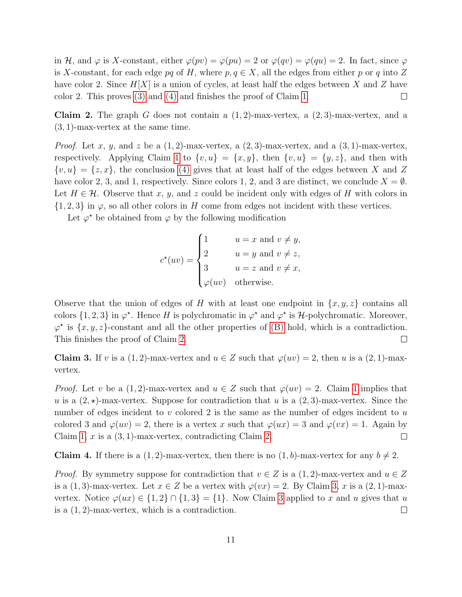in H, and  $\varphi$  is X-constant, either  $\varphi(pv) = \varphi(pu) = 2$  or  $\varphi(qv) = \varphi(qu) = 2$ . In fact, since  $\varphi$ is X-constant, for each edge pq of H, where  $p, q \in X$ , all the edges from either p or q into Z have color 2. Since  $H[X]$  is a union of cycles, at least half the edges between X and Z have color 2. This proves [\(3\)](#page-8-5) and [\(4\)](#page-8-6) and finishes the proof of Claim [1.](#page-8-3)  $\Box$ 

<span id="page-10-0"></span>**Claim 2.** The graph G does not contain a  $(1, 2)$ -max-vertex, a  $(2, 3)$ -max-vertex, and a (3, 1)-max-vertex at the same time.

*Proof.* Let x, y, and z be a  $(1, 2)$ -max-vertex, a  $(2, 3)$ -max-vertex, and a  $(3, 1)$ -max-vertex, respectively. Applying Claim [1](#page-8-3) to  $\{v, u\} = \{x, y\}$ , then  $\{v, u\} = \{y, z\}$ , and then with  $\{v, u\} = \{z, x\}$ , the conclusion [\(4\)](#page-8-6) gives that at least half of the edges between X and Z have color 2, 3, and 1, respectively. Since colors 1, 2, and 3 are distinct, we conclude  $X = \emptyset$ . Let  $H \in \mathcal{H}$ . Observe that x, y, and z could be incident only with edges of H with colors in  $\{1, 2, 3\}$  in  $\varphi$ , so all other colors in H come from edges not incident with these vertices.

Let  $\varphi^*$  be obtained from  $\varphi$  by the following modification

$$
c^*(uv) = \begin{cases} 1 & u = x \text{ and } v \neq y, \\ 2 & u = y \text{ and } v \neq z, \\ 3 & u = z \text{ and } v \neq x, \\ \varphi(uv) & \text{otherwise.} \end{cases}
$$

Observe that the union of edges of H with at least one endpoint in  $\{x, y, z\}$  contains all colors  $\{1, 2, 3\}$  in  $\varphi^*$ . Hence H is polychromatic in  $\varphi^*$  and  $\varphi^*$  is H-polychromatic. Moreover,  $\varphi^*$  is  $\{x, y, z\}$ -constant and all the other properties of [\(B\)](#page-8-1) hold, which is a contradiction. This finishes the proof of Claim [2.](#page-10-0)  $\Box$ 

<span id="page-10-1"></span>**Claim 3.** If v is a  $(1, 2)$ -max-vertex and  $u \in Z$  such that  $\varphi(uv) = 2$ , then u is a  $(2, 1)$ -maxvertex.

*Proof.* Let v be a  $(1, 2)$ -max-vertex and  $u \in Z$  such that  $\varphi(uv) = 2$ . Claim [1](#page-8-3) implies that u is a  $(2, \star)$ -max-vertex. Suppose for contradiction that u is a  $(2, 3)$ -max-vertex. Since the number of edges incident to  $v$  colored 2 is the same as the number of edges incident to  $u$ colored 3 and  $\varphi(w) = 2$ , there is a vertex x such that  $\varphi(wx) = 3$  and  $\varphi(vx) = 1$ . Again by Claim [1,](#page-8-3) x is a  $(3, 1)$ -max-vertex, contradicting Claim [2.](#page-10-0)  $\Box$ 

<span id="page-10-2"></span>**Claim 4.** If there is a  $(1, 2)$ -max-vertex, then there is no  $(1, b)$ -max-vertex for any  $b \neq 2$ .

*Proof.* By symmetry suppose for contradiction that  $v \in Z$  is a  $(1, 2)$ -max-vertex and  $u \in Z$ is a (1, 3)-max-vertex. Let  $x \in Z$  be a vertex with  $\varphi(vx) = 2$ . By Claim [3,](#page-10-1) x is a (2, 1)-maxvertex. Notice  $\varphi(ux) \in \{1,2\} \cap \{1,3\} = \{1\}$ . Now Claim [3](#page-10-1) applied to x and u gives that u is a  $(1, 2)$ -max-vertex, which is a contradiction.  $\Box$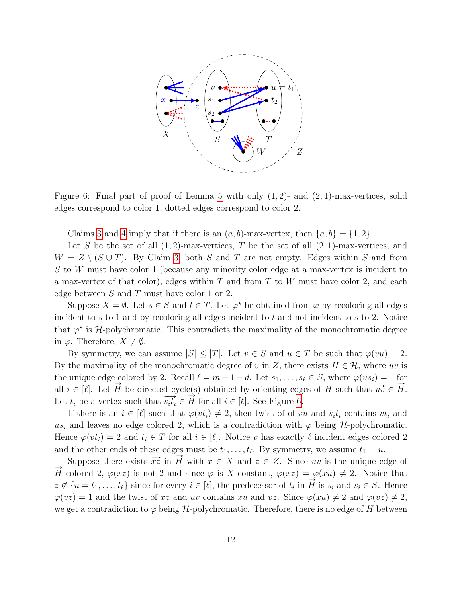

<span id="page-11-0"></span>Figure 6: Final part of proof of Lemma [5](#page-7-1) with only  $(1, 2)$ - and  $(2, 1)$ -max-vertices, solid edges correspond to color 1, dotted edges correspond to color 2.

Claims [3](#page-10-1) and [4](#page-10-2) imply that if there is an  $(a, b)$ -max-vertex, then  $\{a, b\} = \{1, 2\}$ .

Let S be the set of all  $(1, 2)$ -max-vertices, T be the set of all  $(2, 1)$ -max-vertices, and  $W = Z \setminus (S \cup T)$ . By Claim [3,](#page-10-1) both S and T are not empty. Edges within S and from S to W must have color 1 (because any minority color edge at a max-vertex is incident to a max-vertex of that color), edges within  $T$  and from  $T$  to  $W$  must have color 2, and each edge between  $S$  and  $T$  must have color 1 or 2.

Suppose  $X = \emptyset$ . Let  $s \in S$  and  $t \in T$ . Let  $\varphi^*$  be obtained from  $\varphi$  by recoloring all edges incident to s to 1 and by recoloring all edges incident to t and not incident to s to 2. Notice that  $\varphi^*$  is H-polychromatic. This contradicts the maximality of the monochromatic degree in  $\varphi$ . Therefore,  $X \neq \emptyset$ .

By symmetry, we can assume  $|S| \leq |T|$ . Let  $v \in S$  and  $u \in T$  be such that  $\varphi(vu) = 2$ . By the maximality of the monochromatic degree of v in Z, there exists  $H \in \mathcal{H}$ , where uv is the unique edge colored by 2. Recall  $\ell = m - 1 - d$ . Let  $s_1, \ldots, s_\ell \in S$ , where  $\varphi(us_i) = 1$  for all  $i \in [\ell]$ . Let  $\vec{H}$  be directed cycle(s) obtained by orienting edges of H such that  $\vec{uv} \in \vec{H}$ . an  $i \in [t]$ . Let H be differed cycle(s) obtained by orienting edg<br>Let  $t_i$  be a vertex such that  $\overrightarrow{s_i t_i} \in \overrightarrow{H}$  for all  $i \in [\ell]$ . See Figure [6.](#page-11-0)

If there is an  $i \in [\ell]$  such that  $\varphi(v_i) \neq 2$ , then twist of of vu and  $s_i t_i$  contains  $v t_i$  and us<sub>i</sub> and leaves no edge colored 2, which is a contradiction with  $\varphi$  being H-polychromatic. Hence  $\varphi(v t_i) = 2$  and  $t_i \in T$  for all  $i \in [\ell]$ . Notice v has exactly  $\ell$  incident edges colored 2 and the other ends of these edges must be  $t_1, \ldots, t_\ell$ . By symmetry, we assume  $t_1 = u$ .

Suppose there exists  $\vec{x} \vec{z}$  in  $\vec{H}$  with  $x \in X$  and  $z \in Z$ . Since uv is the unique edge of  $\vec{H}$  colored 2,  $\varphi(xz)$  is not 2 and since  $\varphi$  is X-constant,  $\varphi(xz) = \varphi(xu) \neq 2$ . Notice that *z*  $\notin$  { $u = t_1, \ldots, t_\ell$ } since for every  $i \in [\ell]$ , the predecessor of  $t_i$  in  $\overrightarrow{H}$  is  $s_i$  and  $s_i \in S$ . Hence  $z \notin \{u = t_1, \ldots, t_\ell\}$  since for every  $i \in [\ell]$ , the predecessor of  $t_i$  in  $\overrightarrow{H}$  is  $s_i$  and  $s_i \in S$  $\varphi(vz) = 1$  and the twist of xz and uv contains xu and vz. Since  $\varphi(xu) \neq 2$  and  $\varphi(vz) \neq 2$ , we get a contradiction to  $\varphi$  being H-polychromatic. Therefore, there is no edge of H between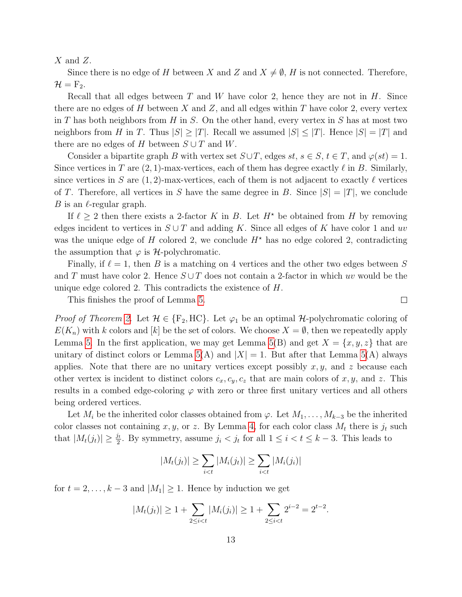$X$  and  $Z$ .

Since there is no edge of H between X and Z and  $X \neq \emptyset$ , H is not connected. Therefore,  $\mathcal{H} = \mathrm{F}_2.$ 

Recall that all edges between  $T$  and  $W$  have color 2, hence they are not in  $H$ . Since there are no edges of H between X and Z, and all edges within T have color 2, every vertex in  $T$  has both neighbors from  $H$  in  $S$ . On the other hand, every vertex in  $S$  has at most two neighbors from H in T. Thus  $|S| \geq |T|$ . Recall we assumed  $|S| \leq |T|$ . Hence  $|S| = |T|$  and there are no edges of H between  $S \cup T$  and W.

Consider a bipartite graph B with vertex set  $S \cup T$ , edges  $st, s \in S$ ,  $t \in T$ , and  $\varphi(st) = 1$ . Since vertices in T are  $(2, 1)$ -max-vertices, each of them has degree exactly  $\ell$  in B. Similarly, since vertices in S are  $(1, 2)$ -max-vertices, each of them is not adjacent to exactly  $\ell$  vertices of T. Therefore, all vertices in S have the same degree in B. Since  $|S| = |T|$ , we conclude B is an  $\ell$ -regular graph.

If  $\ell > 2$  then there exists a 2-factor K in B. Let  $H^*$  be obtained from H by removing edges incident to vertices in  $S \cup T$  and adding K. Since all edges of K have color 1 and uv was the unique edge of H colored 2, we conclude  $H^*$  has no edge colored 2, contradicting the assumption that  $\varphi$  is *H*-polychromatic.

Finally, if  $\ell = 1$ , then B is a matching on 4 vertices and the other two edges between S and T must have color 2. Hence  $S \cup T$  does not contain a 2-factor in which uv would be the unique edge colored 2. This contradicts the existence of H.

 $\Box$ 

This finishes the proof of Lemma [5.](#page-7-1)

*Proof of Theorem [2.](#page-1-0)* Let  $\mathcal{H} \in \{F_2, HC\}$ . Let  $\varphi_1$  be an optimal  $\mathcal{H}$ -polychromatic coloring of  $E(K_n)$  with k colors and [k] be the set of colors. We choose  $X = \emptyset$ , then we repeatedly apply Lemma [5.](#page-7-1) In the first application, we may get Lemma [5\(](#page-7-1)B) and get  $X = \{x, y, z\}$  that are unitary of distinct colors or Lemma  $5(A)$  and  $|X| = 1$ . But after that Lemma  $5(A)$  always applies. Note that there are no unitary vertices except possibly  $x, y$ , and z because each other vertex is incident to distinct colors  $c_x, c_y, c_z$  that are main colors of x, y, and z. This results in a combed edge-coloring  $\varphi$  with zero or three first unitary vertices and all others being ordered vertices.

Let  $M_i$  be the inherited color classes obtained from  $\varphi$ . Let  $M_1, \ldots, M_{k-3}$  be the inherited color classes not containing x, y, or z. By Lemma [4,](#page-7-0) for each color class  $M_t$  there is  $j_t$  such that  $|M_t(j_t)| \geq \frac{j_t}{2}$ . By symmetry, assume  $j_i < j_t$  for all  $1 \leq i < t \leq k-3$ . This leads to

$$
|M_t(j_t)| \ge \sum_{i < t} |M_i(j_t)| \ge \sum_{i < t} |M_i(j_i)|
$$

for  $t = 2, \ldots, k - 3$  and  $|M_1| \geq 1$ . Hence by induction we get

$$
|M_t(j_t)| \ge 1 + \sum_{2 \le i < t} |M_i(j_i)| \ge 1 + \sum_{2 \le i < t} 2^{i-2} = 2^{t-2}.
$$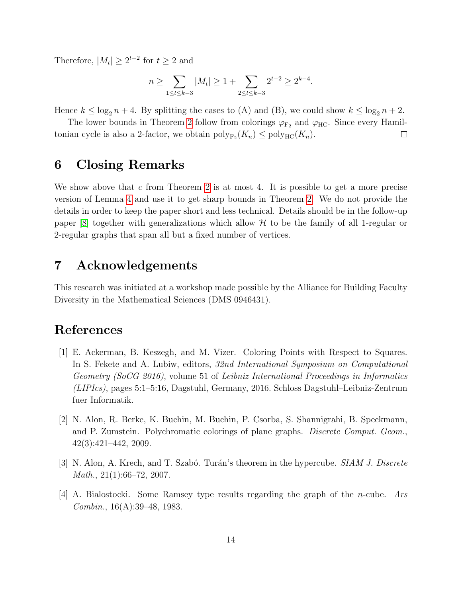Therefore,  $|M_t| \geq 2^{t-2}$  for  $t \geq 2$  and

$$
n \ge \sum_{1 \le t \le k-3} |M_t| \ge 1 + \sum_{2 \le t \le k-3} 2^{t-2} \ge 2^{k-4}.
$$

Hence  $k \leq \log_2 n + 4$ . By splitting the cases to (A) and (B), we could show  $k \leq \log_2 n + 2$ .

The lower bounds in Theorem [2](#page-1-0) follow from colorings  $\varphi_{\text{F}_2}$  and  $\varphi_{\text{HC}}$ . Since every Hamiltonian cycle is also a 2-factor, we obtain  $\text{poly}_{F_2}(K_n) \le \text{poly}_{HC}(K_n)$ .  $\Box$ 

# 6 Closing Remarks

We show above that  $c$  from Theorem [2](#page-1-0) is at most 4. It is possible to get a more precise version of Lemma [4](#page-7-0) and use it to get sharp bounds in Theorem [2.](#page-1-0) We do not provide the details in order to keep the paper short and less technical. Details should be in the follow-up paper  $[8]$  together with generalizations which allow H to be the family of all 1-regular or 2-regular graphs that span all but a fixed number of vertices.

# 7 Acknowledgements

This research was initiated at a workshop made possible by the Alliance for Building Faculty Diversity in the Mathematical Sciences (DMS 0946431).

# References

- <span id="page-13-3"></span>[1] E. Ackerman, B. Keszegh, and M. Vizer. Coloring Points with Respect to Squares. In S. Fekete and A. Lubiw, editors, 32nd International Symposium on Computational Geometry (SoCG 2016), volume 51 of Leibniz International Proceedings in Informatics (LIPIcs), pages 5:1–5:16, Dagstuhl, Germany, 2016. Schloss Dagstuhl–Leibniz-Zentrum fuer Informatik.
- <span id="page-13-2"></span>[2] N. Alon, R. Berke, K. Buchin, M. Buchin, P. Csorba, S. Shannigrahi, B. Speckmann, and P. Zumstein. Polychromatic colorings of plane graphs. *Discrete Comput. Geom.*, 42(3):421–442, 2009.
- <span id="page-13-0"></span>[3] N. Alon, A. Krech, and T. Szabó. Turán's theorem in the hypercube. SIAM J. Discrete *Math.*,  $21(1):66-72$ ,  $2007$ .
- <span id="page-13-1"></span>[4] A. Bialostocki. Some Ramsey type results regarding the graph of the n-cube. Ars Combin., 16(A):39–48, 1983.